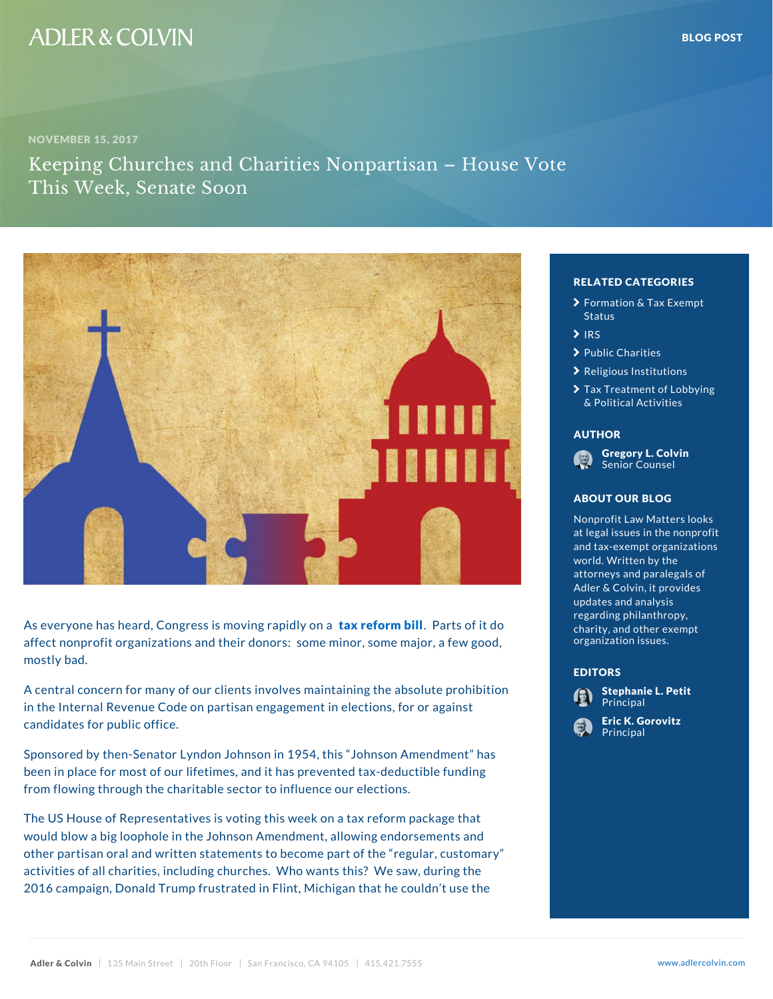## RELATED CATEGORIE

- **>** [Formation & Ta](�� h t t p s : / / w w w . a d l e r c o l v i n . c o m / b l o g / c a t e g o r y / f o r m a t i o n - t a x - e x e m p t - s t a t u s /)x Exe [Stat](�� h t t p s : / / w w w . a d l e r c o l v i n . c o m / b l o g / c a t e g o r y / f o r m a t i o n - t a x - e x e m p t - s t a t u s /)us
- $\sum$ [IR](�� h t t p s : / / w w w . a d l e r c o l v i n . c o m / b l o g / c a t e g o r y / i r s /)S
- > [Public Ch](�� h t t p s : / / w w w . a d l e r c o l v i n . c o m / b l o g / c a t e g o r y / p u b l i c - c h a r i t i e s /)arities
- $\sum$  [Religious Ins](�� h t t p s : / / w w w . a d l e r c o l v i n . c o m / b l o g / c a t e g o r y / r e l i g i o u s - i n s t i t u t i o n s /)titution
- > [Tax Treatment of](�� h t t p s : / / w w w . a d l e r c o l v i n . c o m / b l o g / c a t e g o r y / t a x - t r e a t m e n t - o f - l o b b y i n g - p o l i t i c a l - a c t i v i t i e s /) Lo [& Political A](�� h t t p s : / / w w w . a d l e r c o l v i n . c o m / b l o g / c a t e g o r y / t a x - t r e a t m e n t - o f - l o b b y i n g - p o l i t i c a l - a c t i v i t i e s /)ctivities

### AUTHOR

[Gregory L.](�� h t t p s : / / w w w . a d l e r c o l v i n . c o m / g r e g o r y - l - c o l v i n /) Colvin Senior Counsel

### ABOUT OUR BLOG

Nonprofit Law Matters at legal issues in the and tax-exempt organ world. Written by the attorneys and paraleg Adler & Colvin, it pro updates and analysis regarding philanthrop charity, and other  $ex$ organization issues.

#### EDITORS



As everyone has heard, Congress tissxmroevion on the final red by odnita affect nonprofit organizations and their donors: some morganization issues. ew mostly bad.

A central concern for many of our clients involves maint in the Internal Revenue Code on partisan engagement in the Principal the instructions, for a candidates for public office.

Sponsored by then-Senator Lyndon Johnson in 1954, this Johnson American American American American American been in place for most of our lifetimes, and it has prevented tax-deduction tax-deduction and tax-deduction  $\mathsf{u}_\mathbf{n}$ from flowing through the charitable sector to influence

The US House of Representatives is voting this week on a same a tax reform part of the that reform part of the would blow a big loophole in the Johnson Amendment, allowing endorse the lan other partisan oral and written statements to become part of the regular, customary stomary stomary stomary sto activities of all charities, including churches. Who wants the same same thing 2016 campaign, Donald Trump frustrated in Flint, Michigan that he couldn't see